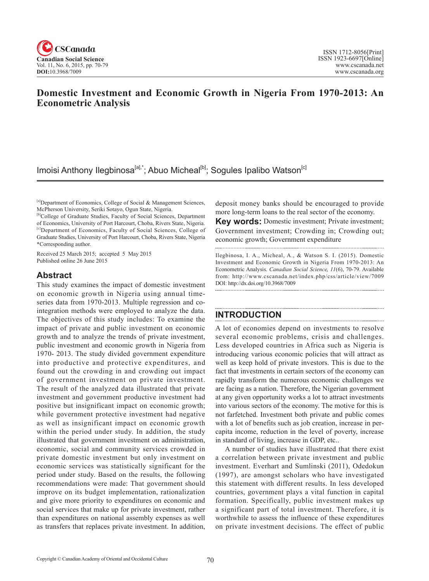

# **Domestic Investment and Economic Growth in Nigeria From 1970-2013: An Econometric Analysis**

Imoisi Anthony Ilegbinosa<sup>[a],\*</sup>; Abuo Micheal<sup>[b]</sup>; Sogules Ipalibo Watson<sup>[c]</sup>

Received 25 March 2015; accepted 5 May 2015 Published online 26 June 2015

## **Abstract**

This study examines the impact of domestic investment on economic growth in Nigeria using annual timeseries data from 1970-2013. Multiple regression and cointegration methods were employed to analyze the data. The objectives of this study includes: To examine the impact of private and public investment on economic growth and to analyze the trends of private investment, public investment and economic growth in Nigeria from 1970- 2013. The study divided government expenditure into productive and protective expenditures, and found out the crowding in and crowding out impact of government investment on private investment. The result of the analyzed data illustrated that private investment and government productive investment had positive but insignificant impact on economic growth; while government protective investment had negative as well as insignificant impact on economic growth within the period under study. In addition, the study illustrated that government investment on administration, economic, social and community services crowded in private domestic investment but only investment on economic services was statistically significant for the period under study. Based on the results, the following recommendations were made: That government should improve on its budget implementation, rationalization and give more priority to expenditures on economic and social services that make up for private investment, rather than expenditures on national assembly expenses as well as transfers that replaces private investment. In addition,

deposit money banks should be encouraged to provide more long-term loans to the real sector of the economy.

**Key words:** Domestic investment; Private investment; Government investment; Crowding in; Crowding out; economic growth; Government expenditure

Ilegbinosa, I. A., Micheal, A., & Watson S. I. (2015). Domestic Investment and Economic Growth in Nigeria From 1970-2013: An Econometric Analysis. *Canadian Social Science*, <sup>11</sup>(6), 70-79. Available from: http://www.cscanada.net/index.php/css/article/view/7009 DOI: http://dx.doi.org/10.3968/7009

# **INTRODUCTION**

A lot of economies depend on investments to resolve several economic problems, crisis and challenges. Less developed countries in Africa such as Nigeria is introducing various economic policies that will attract as well as keep hold of private investors. This is due to the fact that investments in certain sectors of the economy can rapidly transform the numerous economic challenges we are facing as a nation. Therefore, the Nigerian government at any given opportunity works a lot to attract investments into various sectors of the economy. The motive for this is not farfetched. Investment both private and public comes with a lot of benefits such as job creation, increase in percapita income, reduction in the level of poverty, increase in standard of living, increase in GDP, etc..

A number of studies have illustrated that there exist a correlation between private investment and public investment. Everhart and Sumlinski (2011), Odedokun (1997), are amongst scholars who have investigated this statement with different results. In less developed countries, government plays a vital function in capital formation. Specifically, public investment makes up a significant part of total investment. Therefore, it is worthwhile to assess the influence of these expenditures on private investment decisions. The effect of public

<sup>[</sup>a]Department of Economics, College of Social & Management Sciences, McPherson University, Seriki Sotayo, Ogun State, Nigeria.

<sup>[</sup>b]College of Graduate Studies, Faculty of Social Sciences, Department of Economics, University of Port Harcourt, Choba, Rivers State, Nigeria. [c]Department of Economics, Faculty of Social Sciences, College of Graduate Studies, University of Port Harcourt, Choba, Rivers State, Nigeria \*Corresponding author.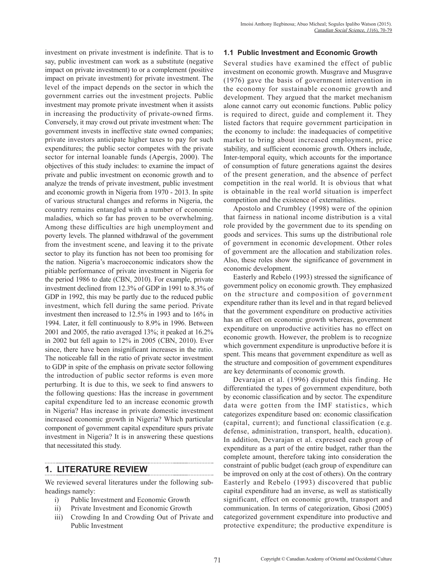investment on private investment is indefinite. That is to say, public investment can work as a substitute (negative impact on private investment) to or a complement (positive impact on private investment) for private investment. The level of the impact depends on the sector in which the government carries out the investment projects. Public investment may promote private investment when it assists in increasing the productivity of private-owned firms. Conversely, it may crowd out private investment when: The government invests in ineffective state owned companies; private investors anticipate higher taxes to pay for such expenditures; the public sector competes with the private sector for internal loanable funds (Apergis, 2000). The objectives of this study includes: to examine the impact of private and public investment on economic growth and to analyze the trends of private investment, public investment and economic growth in Nigeria from 1970 - 2013. In spite of various structural changes and reforms in Nigeria, the country remains entangled with a number of economic maladies, which so far has proven to be overwhelming. Among these difficulties are high unemployment and poverty levels. The planned withdrawal of the government from the investment scene, and leaving it to the private sector to play its function has not been too promising for the nation. Nigeria's macroeconomic indicators show the pitiable performance of private investment in Nigeria for the period 1986 to date (CBN, 2010). For example, private investment declined from 12.3% of GDP in 1991 to 8.3% of GDP in 1992, this may be partly due to the reduced public investment, which fell during the same period. Private investment then increased to 12.5% in 1993 and to 16% in 1994. Later, it fell continuously to 8.9% in 1996. Between 2001 and 2005, the ratio averaged 13%; it peaked at 16.2% in 2002 but fell again to 12% in 2005 (CBN, 2010). Ever since, there have been insignificant increases in the ratio. The noticeable fall in the ratio of private sector investment to GDP in spite of the emphasis on private sector following the introduction of public sector reforms is even more perturbing. It is due to this, we seek to find answers to the following questions: Has the increase in government capital expenditure led to an increase economic growth in Nigeria? Has increase in private domestic investment increased economic growth in Nigeria? Which particular component of government capital expenditure spurs private investment in Nigeria? It is in answering these questions that necessitated this study.

# **1. LITERATURE REVIEW**

We reviewed several literatures under the following subheadings namely:

- i) Public Investment and Economic Growth
- ii) Private Investment and Economic Growth
- iii) Crowding In and Crowding Out of Private and Public Investment

### **1.1 Public Investment and Economic Growth**

Several studies have examined the effect of public investment on economic growth. Musgrave and Musgrave (1976) gave the basis of government intervention in the economy for sustainable economic growth and development. They argued that the market mechanism alone cannot carry out economic functions. Public policy is required to direct, guide and complement it. They listed factors that require government participation in the economy to include: the inadequacies of competitive market to bring about increased employment, price stability, and sufficient economic growth. Others include, Inter-temporal equity, which accounts for the importance of consumption of future generations against the desires of the present generation, and the absence of perfect competition in the real world. It is obvious that what is obtainable in the real world situation is imperfect competition and the existence of externalities.

Apostolo and Crumbley (1998) were of the opinion that fairness in national income distribution is a vital role provided by the government due to its spending on goods and services. This sums up the distributional role of government in economic development. Other roles of government are the allocation and stabilization roles. Also, these roles show the significance of government in economic development.

Easterly and Rebelo (1993) stressed the significance of government policy on economic growth. They emphasized on the structure and composition of government expenditure rather than its level and in that regard believed that the government expenditure on productive activities has an effect on economic growth whereas, government expenditure on unproductive activities has no effect on economic growth. However, the problem is to recognize which government expenditure is unproductive before it is spent. This means that government expenditure as well as the structure and composition of government expenditures are key determinants of economic growth.

Devarajan et al. (1996) disputed this finding. He differentiated the types of government expenditure, both by economic classification and by sector. The expenditure data were gotten from the IMF statistics, which categorizes expenditure based on: economic classification (capital, current); and functional classification (e.g. defense, administration, transport, health, education). In addition, Devarajan et al. expressed each group of expenditure as a part of the entire budget, rather than the complete amount, therefore taking into consideration the constraint of public budget (each group of expenditure can be improved on only at the cost of others). On the contrary Easterly and Rebelo (1993) discovered that public capital expenditure had an inverse, as well as statistically significant, effect on economic growth, transport and communication. In terms of categorization, Gbosi (2005) categorized government expenditure into productive and protective expenditure; the productive expenditure is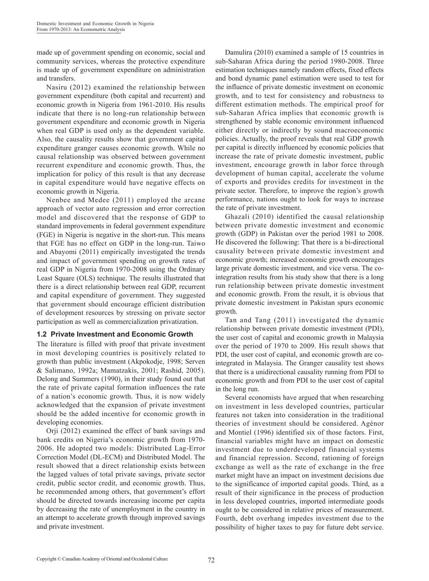made up of government spending on economic, social and community services, whereas the protective expenditure is made up of government expenditure on administration and transfers.

Nasiru (2012) examined the relationship between government expenditure (both capital and recurrent) and economic growth in Nigeria from 1961-2010. His results indicate that there is no long-run relationship between government expenditure and economic growth in Nigeria when real GDP is used only as the dependent variable. Also, the causality results show that government capital expenditure granger causes economic growth. While no causal relationship was observed between government recurrent expenditure and economic growth. Thus, the implication for policy of this result is that any decrease in capital expenditure would have negative effects on economic growth in Nigeria.

Nenbee and Medee (2011) employed the arcane approach of vector auto regression and error correction model and discovered that the response of GDP to standard improvements in federal government expenditure (FGE) in Nigeria is negative in the short-run. This means that FGE has no effect on GDP in the long-run. Taiwo and Abayomi (2011) empirically investigated the trends and impact of government spending on growth rates of real GDP in Nigeria from 1970-2008 using the Ordinary Least Square (OLS) technique. The results illustrated that there is a direct relationship between real GDP, recurrent and capital expenditure of government. They suggested that government should encourage efficient distribution of development resources by stressing on private sector participation as well as commercialization privatization.

#### **1.2 Private Investment and Economic Growth**

The literature is filled with proof that private investment in most developing countries is positively related to growth than public investment (Akpokodje, 1998; Serven & Salimano, 1992a; Mamatzakis, 2001; Rashid, 2005). Delong and Summers (1990), in their study found out that the rate of private capital formation influences the rate of a nation's economic growth. Thus, it is now widely acknowledged that the expansion of private investment should be the added incentive for economic growth in developing economies.

Orji (2012) examined the effect of bank savings and bank credits on Nigeria's economic growth from 1970- 2006. He adopted two models: Distributed Lag-Error Correction Model (DL-ECM) and Distributed Model. The result showed that a direct relationship exists between the lagged values of total private savings, private sector credit, public sector credit, and economic growth. Thus, he recommended among others, that government's effort should be directed towards increasing income per capita by decreasing the rate of unemployment in the country in an attempt to accelerate growth through improved savings and private investment.

Damulira (2010) examined a sample of 15 countries in sub-Saharan Africa during the period 1980-2008. Three estimation techniques namely random effects, fixed effects and bond dynamic panel estimation were used to test for the influence of private domestic investment on economic growth, and to test for consistency and robustness to different estimation methods. The empirical proof for sub-Saharan Africa implies that economic growth is strengthened by stable economic environment influenced either directly or indirectly by sound macroeconomic policies. Actually, the proof reveals that real GDP growth per capital is directly influenced by economic policies that increase the rate of private domestic investment, public investment, encourage growth in labor force through development of human capital, accelerate the volume of exports and provides credits for investment in the private sector. Therefore, to improve the region's growth performance, nations ought to look for ways to increase the rate of private investment.

Ghazali (2010) identified the causal relationship between private domestic investment and economic growth (GDP) in Pakistan over the period 1981 to 2008. He discovered the following: That there is a bi-directional causality between private domestic investment and economic growth; increased economic growth encourages large private domestic investment, and vice versa. The cointegration results from his study show that there is a long run relationship between private domestic investment and economic growth. From the result, it is obvious that private domestic investment in Pakistan spurs economic growth.

Tan and Tang (2011) investigated the dynamic relationship between private domestic investment (PDI), the user cost of capital and economic growth in Malaysia over the period of 1970 to 2009. His result shows that PDI, the user cost of capital, and economic growth are cointegrated in Malaysia. The Granger causality test shows that there is a unidirectional causality running from PDI to economic growth and from PDI to the user cost of capital in the long run.

Several economists have argued that when researching on investment in less developed countries, particular features not taken into consideration in the traditional theories of investment should be considered. Agénor and Montiel (1996) identified six of those factors. First, financial variables might have an impact on domestic investment due to underdeveloped financial systems and financial repression. Second, rationing of foreign exchange as well as the rate of exchange in the free market might have an impact on investment decisions due to the significance of imported capital goods. Third, as a result of their significance in the process of production in less developed countries, imported intermediate goods ought to be considered in relative prices of measurement. Fourth, debt overhang impedes investment due to the possibility of higher taxes to pay for future debt service.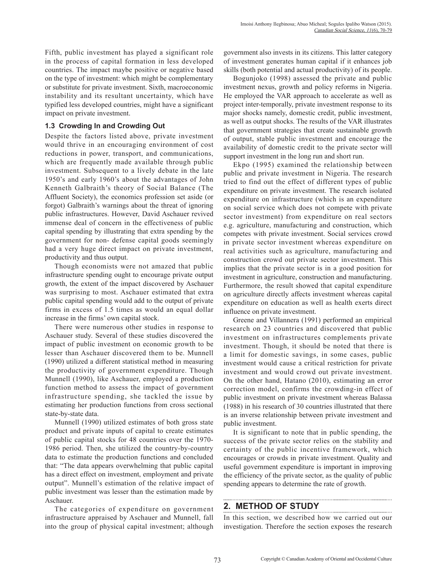Fifth, public investment has played a significant role in the process of capital formation in less developed countries. The impact maybe positive or negative based on the type of investment: which might be complementary or substitute for private investment. Sixth, macroeconomic instability and its resultant uncertainty, which have typified less developed countries, might have a significant impact on private investment.

### **1.3 Crowding In and Crowding Out**

Despite the factors listed above, private investment would thrive in an encouraging environment of cost reductions in power, transport, and communications, which are frequently made available through public investment. Subsequent to a lively debate in the late 1950's and early 1960's about the advantages of John Kenneth Galbraith's theory of Social Balance (The Affluent Society), the economics profession set aside (or forgot) Galbraith's warnings about the threat of ignoring public infrastructures. However, David Aschauer revived immense deal of concern in the effectiveness of public capital spending by illustrating that extra spending by the government for non- defense capital goods seemingly had a very huge direct impact on private investment, productivity and thus output.

Though economists were not amazed that public infrastructure spending ought to encourage private output growth, the extent of the impact discovered by Aschauer was surprising to most. Aschauer estimated that extra public capital spending would add to the output of private firms in excess of 1.5 times as would an equal dollar increase in the firms' own capital stock.

There were numerous other studies in response to Aschauer study. Several of these studies discovered the impact of public investment on economic growth to be lesser than Aschauer discovered them to be. Munnell (1990) utilized a different statistical method in measuring the productivity of government expenditure. Though Munnell (1990), like Aschauer, employed a production function method to assess the impact of government infrastructure spending, she tackled the issue by estimating her production functions from cross sectional state-by-state data.

Munnell (1990) utilized estimates of both gross state product and private inputs of capital to create estimates of public capital stocks for 48 countries over the 1970- 1986 period. Then, she utilized the country-by-country data to estimate the production functions and concluded that: "The data appears overwhelming that public capital has a direct effect on investment, employment and private output". Munnell's estimation of the relative impact of public investment was lesser than the estimation made by Aschauer.

The categories of expenditure on government infrastructure appraised by Aschauer and Munnell, fall into the group of physical capital investment; although government also invests in its citizens. This latter category of investment generates human capital if it enhances job skills (both potential and actual productivity) of its people.

Bogunjoko (1998) assessed the private and public investment nexus, growth and policy reforms in Nigeria. He employed the VAR approach to accelerate as well as project inter-temporally, private investment response to its major shocks namely, domestic credit, public investment, as well as output shocks. The results of the VAR illustrates that government strategies that create sustainable growth of output, stable public investment and encourage the availability of domestic credit to the private sector will support investment in the long run and short run.

Ekpo (1995) examined the relationship between public and private investment in Nigeria. The research tried to find out the effect of different types of public expenditure on private investment. The research isolated expenditure on infrastructure (which is an expenditure on social service which does not compete with private sector investment) from expenditure on real sectors e.g. agriculture, manufacturing and construction, which competes with private investment. Social services crowd in private sector investment whereas expenditure on real activities such as agriculture, manufacturing and construction crowd out private sector investment. This implies that the private sector is in a good position for investment in agriculture, construction and manufacturing. Furthermore, the result showed that capital expenditure on agriculture directly affects investment whereas capital expenditure on education as well as health exerts direct influence on private investment.

Greene and Villannera (1991) performed an empirical research on 23 countries and discovered that public investment on infrastructures complements private investment. Though, it should be noted that there is a limit for domestic savings, in some cases, public investment would cause a critical restriction for private investment and would crowd out private investment. On the other hand, Hatano (2010), estimating an error correction model, confirms the crowding-in effect of public investment on private investment whereas Balassa (1988) in his research of 30 countries illustrated that there is an inverse relationship between private investment and public investment.

It is significant to note that in public spending, the success of the private sector relies on the stability and certainty of the public incentive framework, which encourages or crowds in private investment. Quality and useful government expenditure is important in improving the efficiency of the private sector, as the quality of public spending appears to determine the rate of growth.

### **2. METHOD OF STUDY**

In this section, we described how we carried out our investigation. Therefore the section exposes the research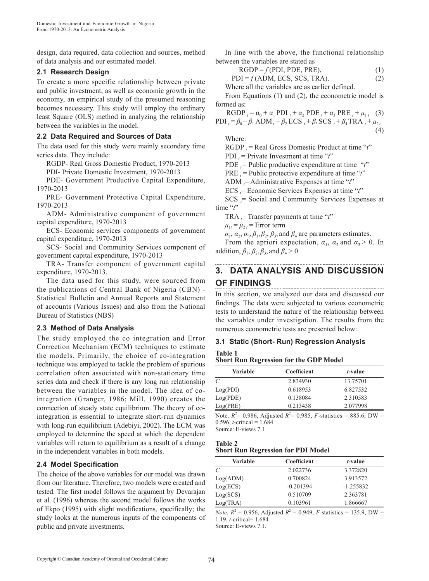design, data required, data collection and sources, method of data analysis and our estimated model.

### **2.1 Research Design**

To create a more specific relationship between private and public investment, as well as economic growth in the economy, an empirical study of the presumed reasoning becomes necessary. This study will employ the ordinary least Square (OLS) method in analyzing the relationship between the variables in the model.

### **2.2 Data Required and Sources of Data**

The data used for this study were mainly secondary time series data. They include:

RGDP- Real Gross Domestic Product, 1970-2013

PDI- Private Domestic Investment, 1970-2013

PDE- Government Productive Capital Expenditure, 1970-2013

PRE- Government Protective Capital Expenditure, 1970-2013

ADM- Administrative component of government capital expenditure, 1970-2013

ECS- Economic services components of government capital expenditure, 1970-2013

SCS- Social and Community Services component of government capital expenditure, 1970-2013

TRA- Transfer component of government capital expenditure, 1970-2013.

The data used for this study, were sourced from the publications of Central Bank of Nigeria (CBN) - Statistical Bulletin and Annual Reports and Statement of accounts (Various Issues) and also from the National Bureau of Statistics (NBS)

### **2.3 Method of Data Analysis**

The study employed the co integration and Error Correction Mechanism (ECM) techniques to estimate the models. Primarily, the choice of co-integration technique was employed to tackle the problem of spurious correlation often associated with non-stationary time series data and check if there is any long run relationship between the variables in the model. The idea of cointegration (Granger, 1986; Mill, 1990) creates the connection of steady state equilibrium. The theory of cointegration is essential to integrate short-run dynamics with long-run equilibrium (Adebiyi, 2002). The ECM was employed to determine the speed at which the dependent variables will return to equilibrium as a result of a change in the independent variables in both models.

### **2.4 Model Specification**

The choice of the above variables for our model was drawn from our literature. Therefore, two models were created and tested. The first model follows the argument by Devarajan et al. (1996) whereas the second model follows the works of Ekpo (1995) with slight modifications, specifically; the study looks at the numerous inputs of the components of public and private investments.

In line with the above, the functional relationship between the variables are stated as

$$
RGDP = f(PDI, PDE, PRE),
$$
 (1)

$$
PDI = f(ADM, ECS, SCS, TRA).
$$
 (2)

Where all the variables are as earlier defined.

From Equations (1) and (2), the econometric model is formed as:

 $RGDP_t = α_0 + α_1 PDI_t + α_2 PDE_t + α_3 PRE_t + μ_{1t}$  (3)  $PDI_t = \beta_0 + \beta_1 \text{ADM}_t + \beta_2 \text{ECS}_t + \beta_3 \text{SCS}_t + \beta_4 \text{TRA}_t + \mu_{2t}$  $(4)$ 

Where:

RGDP *<sup>t</sup>* = Real Gross Domestic Product at time "*t*"

PDI  $t =$  Private Investment at time " $t$ "

PDE  $t =$  Public productive expenditure at time "*t*"

PRE  $t =$  Public protective expenditure at time " $t$ "

ADM *<sup>t</sup>* = Administrative Expenses at time "*t*"

ECS *<sup>t</sup>* = Economic Services Expenses at time "*t*"

 $SCS$ <sub> $t$ </sub> = Social and Community Services Expenses at time "*t*"

TRA  $_t$  = Transfer payments at time " $t$ "

 $\mu_{1t} = \mu_{2t} =$  Error term

 $\alpha_1$ ,  $\alpha_2$ ,  $\alpha_3$ ,  $\beta_1$ ,  $\beta_2$ ,  $\beta_3$ , and  $\beta_4$  are parameters estimates.

From the apriori expectation,  $\alpha_1$ ,  $\alpha_2$  and  $\alpha_3 > 0$ . In addition,  $\beta_1$ ,  $\beta_2$ ,  $\beta_3$ , and  $\beta_4 > 0$ 

# **3. DATA ANALYSIS AND DISCUSSION OF FINDINGS**

In this section, we analyzed our data and discussed our findings. The data were subjected to various econometric tests to understand the nature of the relationship between the variables under investigation. The results from the numerous econometric tests are presented below:

### **3.1 Static (Short- Run) Regression Analysis Table 1**

**Short Run Regression for the GDP Model**

| Variable | Coefficient | t-value  |
|----------|-------------|----------|
| C        | 2.834930    | 13.75701 |
| Log(PDI) | 0.618953    | 6.827532 |
| Log(PDE) | 0.138084    | 2.310583 |
| Log(PRE) | 0.213438    | 2.077998 |

Note.  $R^2 = 0.986$ , Adjusted  $R^2 = 0.985$ , *F*-statistics = 885.6, DW = 0.596, *t*-critical =  $1.684$ 

Source: E-views 7.1

#### **Table 2 Short Run Regression for PDI Model**

| Variable | Coefficient | <i>t</i> -value |
|----------|-------------|-----------------|
| C        | 2.022736    | 3.372820        |
| Log(ADM) | 0.700824    | 3.913572        |
| Log(ECS) | $-0.201394$ | $-1.255832$     |
| Log(SCS) | 0.510709    | 2.363781        |
| Log(TRA) | 0.103961    | 1.866667        |

*Note.*  $R^2 = 0.956$ , Adjusted  $R^2 = 0.949$ , *F*-statistics = 135.9, DW = 1.19, *t*-critical= 1.684 Source: E-views 7.1.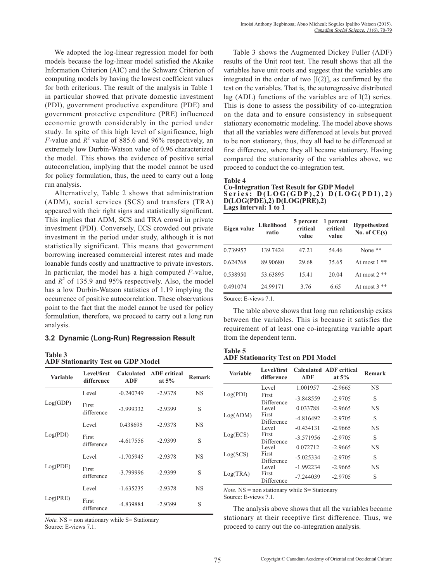We adopted the log-linear regression model for both models because the log-linear model satisfied the Akaike Information Criterion (AIC) and the Schwarz Criterion of computing models by having the lowest coefficient values for both criterions. The result of the analysis in Table 1 in particular showed that private domestic investment (PDI), government productive expenditure (PDE) and government protective expenditure (PRE) influenced economic growth considerably in the period under study. In spite of this high level of significance, high *F*-value and  $R^2$  value of 885.6 and 96% respectively, an extremely low Durbin-Watson value of 0.96 characterized the model. This shows the evidence of positive serial autocorrelation, implying that the model cannot be used for policy formulation, thus, the need to carry out a long run analysis.

Alternatively, Table 2 shows that administration (ADM), social services (SCS) and transfers (TRA) appeared with their right signs and statistically significant. This implies that ADM, SCS and TRA crowd in private investment (PDI). Conversely, ECS crowded out private investment in the period under study, although it is not statistically significant. This means that government borrowing increased commercial interest rates and made loanable funds costly and unattractive to private investors. In particular, the model has a high computed *F*-value, and  $R^2$  of 135.9 and 95% respectively. Also, the model has a low Durbin-Watson statistics of 1.19 implying the occurrence of positive autocorrelation. These observations point to the fact that the model cannot be used for policy formulation, therefore, we proceed to carry out a long run analysis.

#### **3.2 Dynamic (Long-Run) Regression Result**

#### **Table 3 ADF Stationarity Test on GDP Model**

| <b>Variable</b> | Level/first<br>difference | ADF         | Calculated ADF critical<br>at $5\%$ | Remark    |
|-----------------|---------------------------|-------------|-------------------------------------|-----------|
|                 | Level                     | $-0.240749$ | $-2.9378$                           | <b>NS</b> |
| Log(GDP)        | First<br>difference       | -3.999332   | $-2.9399$                           | S         |
|                 | Level                     | 0.438695    | $-2.9378$                           | <b>NS</b> |
| Log(PDI)        | First<br>difference       | $-4.617556$ | $-2.9399$                           | S         |
|                 | Level                     | $-1.705945$ | $-2.9378$                           | <b>NS</b> |
| Log(PDE)        | First<br>difference       | $-3.799996$ | $-2.9399$                           | S         |
|                 | Level                     | $-1.635235$ | $-2.9378$                           | <b>NS</b> |
| Log(PRE)        | First<br>difference       | -4.839884   | $-2.9399$                           | S         |

*Note.* NS = non stationary while S= Stationary Source: E-views 7.1.

Table 3 shows the Augmented Dickey Fuller (ADF) results of the Unit root test. The result shows that all the variables have unit roots and suggest that the variables are integrated in the order of two  $[I(2)]$ , as confirmed by the test on the variables. That is, the autoregressive distributed lag (ADL) functions of the variables are of I(2) series. This is done to assess the possibility of co-integration on the data and to ensure consistency in subsequent stationary econometric modeling. The model above shows that all the variables were differenced at levels but proved to be non stationary, thus, they all had to be differenced at first difference, where they all became stationary. Having compared the stationarity of the variables above, we proceed to conduct the co-integration test.

#### **Table 4**

#### **Co-Integration Test Result for GDP Model** Series: D(LOG(GDP),2) D(LOG(PDI),2) **D(LOG(PDE),2) D(LOG(PRE),2) Lags interval: 1 to 1**

| Eigen value | Likelihood<br>ratio | 5 percent<br>critical<br>value | 1 percent<br>critical<br>value | <b>Hypothesized</b><br>No. of $CE(s)$ |
|-------------|---------------------|--------------------------------|--------------------------------|---------------------------------------|
| 0.739957    | 139.7424            | 47.21                          | 54 46                          | None $**$                             |
| 0.624768    | 89.90680            | 29.68                          | 35.65                          | At most 1<br>**                       |
| 0.538950    | 53.63895            | 15.41                          | 20.04                          | At most $2$ **                        |
| 0.491074    | 24.99171            | 3.76                           | 6.65                           | **<br>At most 3                       |

Source: E-views 7.1.

The table above shows that long run relationship exists between the variables. This is because it satisfies the requirement of at least one co-integrating variable apart from the dependent term.

#### **Table 5 ADF Stationarity Test on PDI Model**

| Variable | Level/first<br>difference | ADF         | <b>Calculated ADF critical</b><br>at $5\%$ | Remark    |
|----------|---------------------------|-------------|--------------------------------------------|-----------|
|          | Level                     | 1.001957    | $-2.9665$                                  | <b>NS</b> |
| Log(PDI) | First<br>Difference       | $-3.848559$ | $-2.9705$                                  | S         |
|          | Level                     | 0.033788    | $-2.9665$                                  | <b>NS</b> |
| Log(ADM) | First<br>Difference       | -4.816492   | $-2.9705$                                  | S         |
|          | Level                     | $-0.434131$ | $-2.9665$                                  | <b>NS</b> |
| Log(ECS) | First<br>Difference       | $-3.571956$ | $-2.9705$                                  | S         |
|          | Level                     | 0.072712    | $-2.9665$                                  | <b>NS</b> |
| Log(SCS) | First<br>Difference       | $-5.025334$ | $-2.9705$                                  | S         |
|          | Level                     | -1.992234   | $-2.9665$                                  | <b>NS</b> |
| Log(TRA) | First<br>Difference       | $-7.244039$ | $-2.9705$                                  | S         |

*Note.* NS = non stationary while S= Stationary Source: E-views 7.1.

The analysis above shows that all the variables became stationary at their receptive first difference. Thus, we proceed to carry out the co-integration analysis.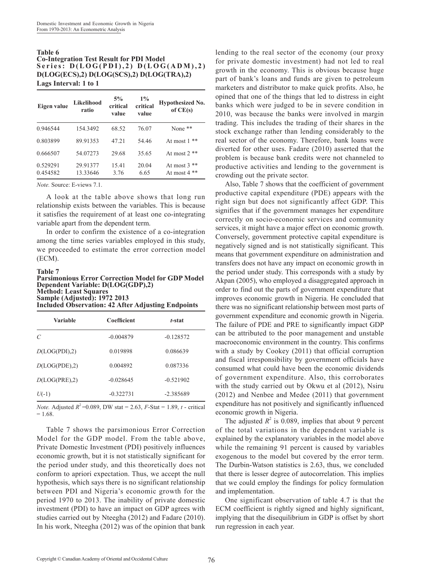#### **Table 6 Co-Integration Test Result for PDI Model** Series:  $D(LOG(PDI), 2) D(LOG(ADM), 2)$ **D(LOG(ECS),2) D(LOG(SCS),2) D(LOG(TRA),2) Lags Interval: 1 to 1**

| Eigen value          | Likelihood<br>ratio  | 5%<br>critical<br>value | $1\%$<br>critical<br>value | <b>Hypothesized No.</b><br>of $CE(s)$ |
|----------------------|----------------------|-------------------------|----------------------------|---------------------------------------|
| 0.946544             | 154.3492             | 68.52                   | 76.07                      | None $**$                             |
| 0.803899             | 89.91353             | 47.21                   | 54 46                      | **<br>At most 1                       |
| 0.666507             | 54.07273             | 29.68                   | 35.65                      | At most $2**$                         |
| 0.529291<br>0.454582 | 29.91377<br>13.33646 | 15.41<br>3.76           | 20.04<br>6.65              | At most $3$ **<br>At most $4**$       |

*Note.* Source: E-views 7.1.

A look at the table above shows that long run relationship exists between the variables. This is because it satisfies the requirement of at least one co-integrating variable apart from the dependent term.

In order to confirm the existence of a co-integration among the time series variables employed in this study, we proceeded to estimate the error correction model (ECM).

#### **Table 7**

**Parsimonious Error Correction Model for GDP Model Dependent Variable: D(LOG(GDP),2) Method: Least Squares Sample (Adjusted): 1972 2013 Included Observation: 42 After Adjusting Endpoints**

| Variable      | Coefficient | t-stat      |
|---------------|-------------|-------------|
| $\mathcal{C}$ | $-0.004879$ | $-0.128572$ |
| D(LOG(PDI),2) | 0.019898    | 0.086639    |
| D(LOG(PDE),2) | 0.004892    | 0.087336    |
| D(LOG(PRE),2) | $-0.028645$ | $-0.521902$ |
| $U(-1)$       | $-0.322731$ | $-2.385689$ |

*Note.* Adjusted  $R^2 = 0.089$ , DW stat = 2.63, *F*-Stat = 1.89, *t* - critical  $= 1.68.$ 

Table 7 shows the parsimonious Error Correction Model for the GDP model. From the table above, Private Domestic Investment (PDI) positively influences economic growth, but it is not statistically significant for the period under study, and this theoretically does not conform to apriori expectation. Thus, we accept the null hypothesis, which says there is no significant relationship between PDI and Nigeria's economic growth for the period 1970 to 2013. The inability of private domestic investment (PDI) to have an impact on GDP agrees with studies carried out by Nteegha (2012) and Fadare (2010). In his work, Nteegha (2012) was of the opinion that bank

lending to the real sector of the economy (our proxy for private domestic investment) had not led to real growth in the economy. This is obvious because huge part of bank's loans and funds are given to petroleum marketers and distributor to make quick profits. Also, he opined that one of the things that led to distress in eight banks which were judged to be in severe condition in 2010, was because the banks were involved in margin trading. This includes the trading of their shares in the stock exchange rather than lending considerably to the real sector of the economy. Therefore, bank loans were diverted for other uses. Fadare (2010) asserted that the problem is because bank credits were not channeled to productive activities and lending to the government is crowding out the private sector.

Also, Table 7 shows that the coefficient of government productive capital expenditure (PDE) appears with the right sign but does not significantly affect GDP. This signifies that if the government manages her expenditure correctly on socio-economic services and community services, it might have a major effect on economic growth. Conversely, government protective capital expenditure is negatively signed and is not statistically significant. This means that government expenditure on administration and transfers does not have any impact on economic growth in the period under study. This corresponds with a study by Akpan (2005), who employed a disaggregated approach in order to find out the parts of government expenditure that improves economic growth in Nigeria. He concluded that there was no significant relationship between most parts of government expenditure and economic growth in Nigeria. The failure of PDE and PRE to significantly impact GDP can be attributed to the poor management and unstable macroeconomic environment in the country. This confirms with a study by Cookey (2011) that official corruption and fiscal irresponsibility by government officials have consumed what could have been the economic dividends of government expenditure. Also, this corroborates with the study carried out by Okwu et al (2012), Nsiru (2012) and Nenbee and Medee (2011) that government expenditure has not positively and significantly influenced economic growth in Nigeria.

The adjusted  $R^2$  is 0.089, implies that about 9 percent of the total variations in the dependent variable is explained by the explanatory variables in the model above while the remaining 91 percent is caused by variables exogenous to the model but covered by the error term. The Durbin-Watson statistics is 2.63, thus, we concluded that there is lesser degree of autocorrelation. This implies that we could employ the findings for policy formulation and implementation.

One significant observation of table 4.7 is that the ECM coefficient is rightly signed and highly significant, implying that the disequilibrium in GDP is offset by short run regression in each year.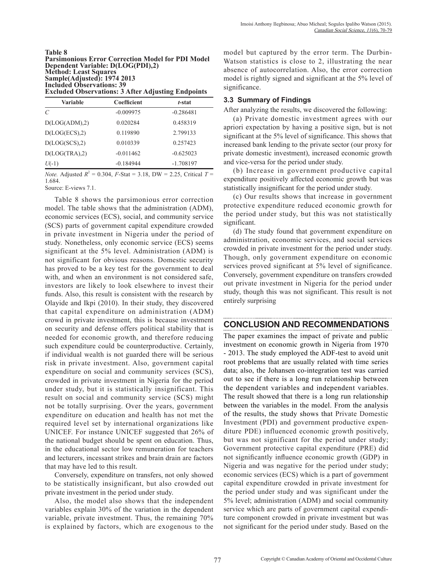#### **Table 8 Parsimonious Error Correction Model for PDI Model Dependent Variable: D(LOG(PDI),2) Method: Least Squares Sample(Adjusted): 1974 2013 Included Observations: 39 Excluded Observations: 3 After Adjusting Endpoints**

| Variable      | Coefficient | t-stat      |
|---------------|-------------|-------------|
| C             | $-0.009975$ | $-0.286481$ |
| D(LOG(ADM),2) | 0.020284    | 0.458319    |
| D(LOG(ECS),2) | 0.119890    | 2.799133    |
| D(LOG(SCS),2) | 0.010339    | 0.257423    |
| D(LOG(TRA),2) | $-0.011462$ | $-0.625023$ |
| $U(-1)$       | $-0.184944$ | $-1.708197$ |

*Note.* Adjusted  $R^2 = 0.304$ ,  $F$ -Stat = 3.18, DW = 2.25, Critical  $T =$ 1.684.

Source: E-views 7.1.

Table 8 shows the parsimonious error correction model. The table shows that the administration (ADM), economic services (ECS), social, and community service (SCS) parts of government capital expenditure crowded in private investment in Nigeria under the period of study. Nonetheless, only economic service (ECS) seems significant at the 5% level. Administration (ADM) is not significant for obvious reasons. Domestic security has proved to be a key test for the government to deal with, and when an environment is not considered safe, investors are likely to look elsewhere to invest their funds. Also, this result is consistent with the research by Olayide and Ikpi (2010). In their study, they discovered that capital expenditure on administration (ADM) crowd in private investment, this is because investment on security and defense offers political stability that is needed for economic growth, and therefore reducing such expenditure could be counterproductive. Certainly, if individual wealth is not guarded there will be serious risk in private investment. Also, government capital expenditure on social and community services (SCS), crowded in private investment in Nigeria for the period under study, but it is statistically insignificant. This result on social and community service (SCS) might not be totally surprising. Over the years, government expenditure on education and health has not met the required level set by international organizations like UNICEF. For instance UNICEF suggested that 26% of the national budget should be spent on education. Thus, in the educational sector low remuneration for teachers and lecturers, incessant strikes and brain drain are factors that may have led to this result.

Conversely, expenditure on transfers, not only showed to be statistically insignificant, but also crowded out private investment in the period under study.

Also, the model also shows that the independent variables explain 30% of the variation in the dependent variable, private investment. Thus, the remaining 70% is explained by factors, which are exogenous to the

model but captured by the error term. The Durbin-Watson statistics is close to 2, illustrating the near absence of autocorrelation. Also, the error correction model is rightly signed and significant at the 5% level of significance.

### **3.3 Summary of Findings**

After analyzing the results, we discovered the following:

(a) Private domestic investment agrees with our apriori expectation by having a positive sign, but is not significant at the 5% level of significance. This shows that increased bank lending to the private sector (our proxy for private domestic investment), increased economic growth and vice-versa for the period under study.

(b) Increase in government productive capital expenditure positively affected economic growth but was statistically insignificant for the period under study.

(c) Our results shows that increase in government protective expenditure reduced economic growth for the period under study, but this was not statistically significant.

(d) The study found that government expenditure on administration, economic services, and social services crowded in private investment for the period under study. Though, only government expenditure on economic services proved significant at 5% level of significance. Conversely, government expenditure on transfers crowded out private investment in Nigeria for the period under study, though this was not significant. This result is not entirely surprising

### **CONCLUSION AND RECOMMENDATIONS**

The paper examines the impact of private and public investment on economic growth in Nigeria from 1970 - 2013. The study employed the ADF-test to avoid unit root problems that are usually related with time series data; also, the Johansen co-integration test was carried out to see if there is a long run relationship between the dependent variables and independent variables. The result showed that there is a long run relationship between the variables in the model. From the analysis of the results, the study shows that Private Domestic Investment (PDI) and government productive expenditure PDE) influenced economic growth positively, but was not significant for the period under study; Government protective capital expenditure (PRE) did not significantly influence economic growth (GDP) in Nigeria and was negative for the period under study; economic services (ECS) which is a part of government capital expenditure crowded in private investment for the period under study and was significant under the 5% level; administration (ADM) and social community service which are parts of government capital expenditure component crowded in private investment but was not significant for the period under study. Based on the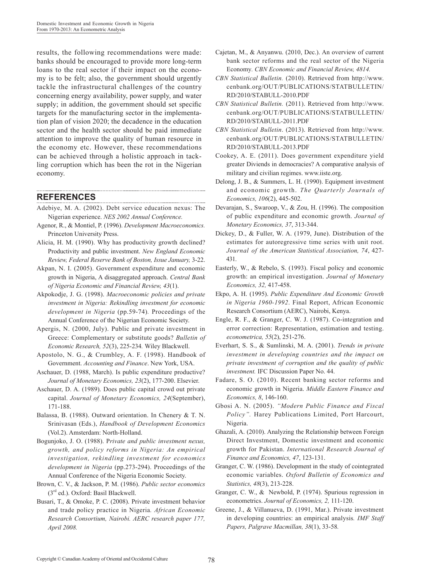results, the following recommendations were made: banks should be encouraged to provide more long-term loans to the real sector if their impact on the economy is to be felt; also, the government should urgently tackle the infrastructural challenges of the country concerning energy availability, power supply, and water supply; in addition, the government should set specific targets for the manufacturing sector in the implementation plan of vision 2020; the decadence in the education sector and the health sector should be paid immediate attention to improve the quality of human resource in the economy etc. However, these recommendations can be achieved through a holistic approach in tackling corruption which has been the rot in the Nigerian economy.

### **REFERENCES**

Adebiye, M. A. (2002). Debt service education nexus: The Nigerian experience. *NES 2002 Annual Conference.*

- Agenor, R., & Montiel, P. (1996). *Development Macroeconomics.* Princeton University Press.
- Alicia, H. M. (1990). Why has productivity growth declined? Productivity and public investment. *New England Economic Review, Federal Reserve Bank of Boston, Issue January,* 3-22.
- Akpan, N. I. (2005). Government expenditure and economic growth in Nigeria, A disaggregated approach. *Central Bank of Nigeria Economic and Financial Review, 43*(1).
- Akpokodje, J. G. (1998). *Macroeconomic policies and private investment in Nigeria: Rekindling investment for economic development in Nigeria* (pp.59-74)*.* Proceedings of the Annual Conference of the Nigerian Economic Society.
- Apergis, N. (2000, July). Public and private investment in Greece: Complementary or substitute goods? *Bulletin of Economic Research, 52*(3), 225-234*.* Wiley Blackwell.
- Apostolo, N. G., & Crumbley, A. F. (1998). Handbook of Government. *Accounting and Finance*. New York, USA.
- Aschauer, D. (1988, March). Is public expenditure productive? *Journal of Monetary Economics, 23*(2), 177-200. Elsevier.
- Aschauer, D. A. (1989). Does public capital crowd out private capital. *Journal of Monetary Economics, 24*(September), 171-188.
- Balassa, B. (1988). Outward orientation. In Chenery & T. N. Srinivasan (Eds.), *Handbook of Development Economics* (Vol.2). Amsterdam: North-Holland.
- Bogunjoko, J. O. (1988). P*rivate and public investment nexus, growth, and policy reforms in Nigeria: An empirical investigation, rekindling investment for economics development in Nigeria* (pp.273-294). Proceedings of the Annual Conference of the Nigeria Economic Society.
- Brown, C. V., & Jackson, P. M. (1986). *Public sector economics*  $(3<sup>rd</sup>$  ed.). Oxford: Basil Blackwell.
- Busari, T., & Omoke, P. C. (2008). Private investment behavior and trade policy practice in Nigeria*. African Economic Research Consortium, Nairobi. AERC research paper 177, April 2008.*
- Cajetan, M., & Anyanwu. (2010, Dec.). An overview of current bank sector reforms and the real sector of the Nigeria Economy*. CBN Economic and Financial Review, 4814.*
- *CBN Statistical Bulletin.* (2010). Retrieved from http://www. cenbank.org/OUT/PUBLICATIONS/STATBULLETIN/ RD/2010/STABULL-2010.PDF
- *CBN Statistical Bulletin.* (2011). Retrieved from http://www. cenbank.org/OUT/PUBLICATIONS/STATBULLETIN/ RD/2010/STABULL-2011.PDF
- *CBN Statistical Bulletin*. (2013). Retrieved from http://www. cenbank.org/OUT/PUBLICATIONS/STATBULLETIN/ RD/2010/STABULL-2013.PDF
- Cookey, A. E. (2011). Does government expenditure yield greater Diviends in democracies? A comparative analysis of military and civilian regimes. www.iiste.org.
- Delong, J. B., & Summers, L. H. (1990). Equipment investment and economic growth. *The Quarterly Journals of Economics, 106*(2), 445-502.
- Devarajan, S., Swaroop, V., & Zou, H. (1996). The composition of public expenditure and economic growth. *Journal of Monetary Economics, 37*, 313-344.
- Dickey, D., & Fuller, W. A. (1979, June). Distribution of the estimates for autoregressive time series with unit root. *Journal of the American Statistical Association, 74*, 427- 431.
- Easterly, W., & Rebelo, S. (1993). Fiscal policy and economic growth: an empirical investigation. *Journal of Monetary Economics, 32,* 417-458.
- Ekpo, A. H. (1995). *Public Expenditure And Economic Growth in Nigeria 1960-1992*. Final Report, African Economic Research Consortium (AERC), Nairobi, Kenya.
- Engle, R. F., & Granger, C. W. J. (1987). Co-integration and error correction: Representation, estimation and testing. *econometrica, 55*(2), 251-276.
- Everhart, S. S., & Sumlinski, M. A. (2001). *Trends in private investment in developing countries and the impact on private investment of corruption and the quality of public investment.* IFC Discussion Paper No. 44.
- Fadare, S. O. (2010). Recent banking sector reforms and economic growth in Nigeria. *Middle Eastern Finance and Economics, 8*, 146-160.
- Gbosi A. N. (2005). *"Modern Public Finance and Fiscal Policy".* Harey Publications Limited, Port Harcourt, Nigeria.
- Ghazali, A. (2010). Analyzing the Relationship between Foreign Direct Investment, Domestic investment and economic growth for Pakistan. *International Research Journal of Finance and Economics, 47*, 123-131.
- Granger, C. W. (1986). Development in the study of cointegrated economic variables. *Oxford Bulletin of Economics and Statistics, 48*(3), 213-228.
- Granger, C. W., & Newbold, P. (1974). Spurious regression in econometrics. *Journal of Economics, 2,* 111-120.
- Greene, J., & Villanueva, D. (1991, Mar.). Private investment in developing countries: an empirical analysis*. IMF Staff Papers, Palgrave Macmillan, 38*(1), 33-58*.*